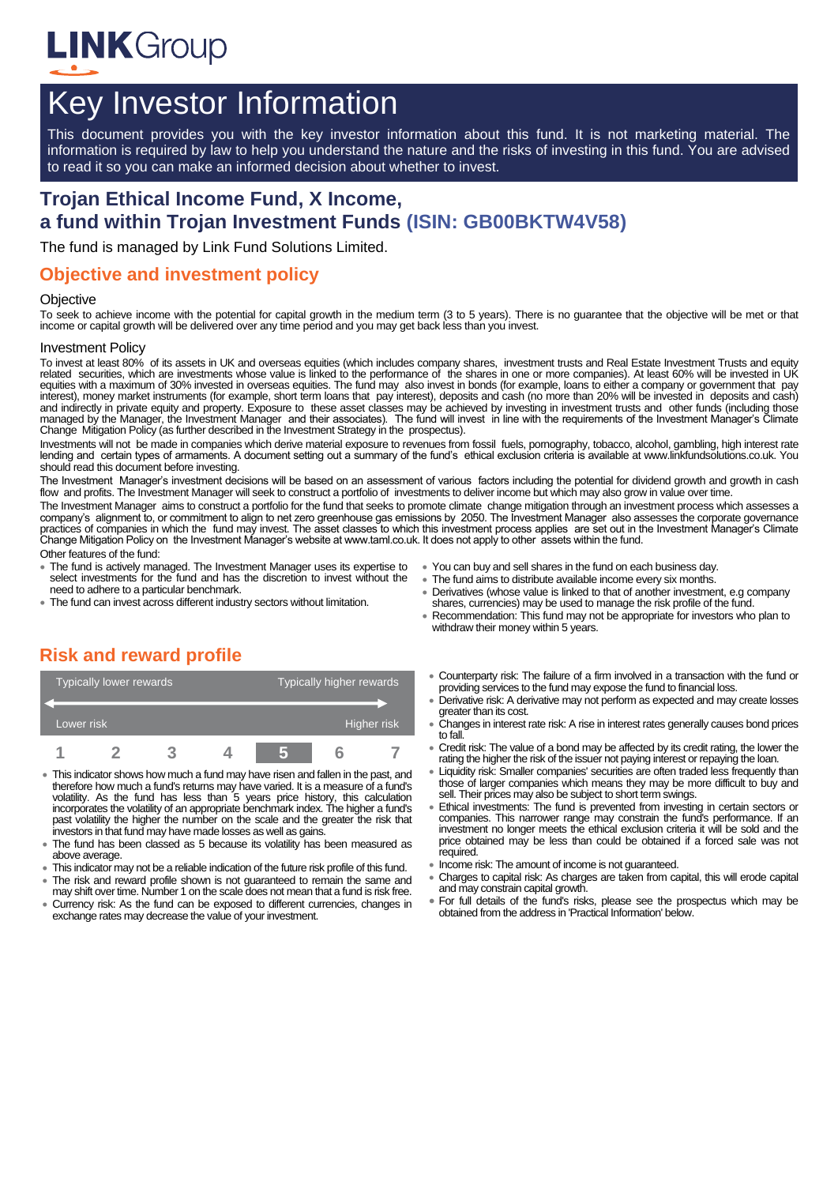

# Key Investor Information

This document provides you with the key investor information about this fund. It is not marketing material. The information is required by law to help you understand the nature and the risks of investing in this fund. You are advised to read it so you can make an informed decision about whether to invest.

# **Trojan Ethical Income Fund, X Income, a fund within Trojan Investment Funds (ISIN: GB00BKTW4V58)**

The fund is managed by Link Fund Solutions Limited.

### **Objective and investment policy**

#### **Objective**

To seek to achieve income with the potential for capital growth in the medium term (3 to 5 years). There is no guarantee that the objective will be met or that income or capital growth will be delivered over any time period and you may get back less than you invest.

#### Investment Policy

To invest at least 80% of its assets in UK and overseas equities (which includes company shares, investment trusts and Real Estate Investment Trusts and equity related securities, which are investments whose value is linked to the performance of the shares in one or more companies). At least 60% will be invested in UK equities with a maximum of 30% invested in overseas equities. The fund may also invest in bonds (for example, loans to either a company or government that pay interest), money market instruments (for example, short term loans that pay interest), deposits and cash (no more than 20% will be invested in deposits and cash) and indirectly in private equity and property. Exposure to these asset classes may be achieved by investing in investment trusts and other funds (including those<br>managed by the Manager, the Investment Manager and their ass Change Mitigation Policy (as further described in the Investment Strategy in the prospectus).

Investments will not be made in companies which derive material exposure to revenues from fossil fuels, pornography, tobacco, alcohol, gambling, high interest rate lending and certain types of armaments. A document setting out a summary of the fund's ethical exclusion criteria is available at www.linkfundsolutions.co.uk. You should read this document before investing.

The Investment Manager's investment decisions will be based on an assessment of various factors including the potential for dividend growth and growth in cash flow and profits. The Investment Manager will seek to construct a portfolio of investments to deliver income but which may also grow in value over time.

The Investment Manager aims to construct a portfolio for the fund that seeks to promote climate change mitigation through an investment process which assesses a company's alignment to, or commitment to align to net zero greenhouse gas emissions by 2050. The Investment Manager also assesses the corporate governance practices of companies in which the fund may invest. The asset classes to which this investment process applies are set out in the Investment Manager's Climate Change Mitigation Policy on the Investment Manager's website at www.taml.co.uk. It does not apply to other assets within the fund. Other features of the fund:

- The fund is actively managed. The Investment Manager uses its expertise to select investments for the fund and has the discretion to invest without the need to adhere to a particular benchmark.
- The fund can invest across different industry sectors without limitation.
- You can buy and sell shares in the fund on each business day.
- The fund aims to distribute available income every six months.
- Derivatives (whose value is linked to that of another investment, e.g company shares, currencies) may be used to manage the risk profile of the fund.
- Recommendation: This fund may not be appropriate for investors who plan to withdraw their money within 5 years.

# **Risk and reward profile**

| Typically lower rewards |  |  |  | Typically higher rewards |  |  |  |
|-------------------------|--|--|--|--------------------------|--|--|--|
|                         |  |  |  |                          |  |  |  |
| Lower risk              |  |  |  | Higher risk              |  |  |  |
|                         |  |  |  |                          |  |  |  |

- This indicator shows how much a fund may have risen and fallen in the past, and therefore how much a fund's returns may have varied. It is a measure of a fund's volatility. As the fund has less than 5 years price history, this calculation incorporates the volatility of an appropriate benchmark index. The higher a fund's past volatility the higher the number on the scale and the greater the risk that investors in that fund may have made losses as well as gains.
- The fund has been classed as 5 because its volatility has been measured as above average.
- This indicator may not be a reliable indication of the future risk profile of this fund.
- The risk and reward profile shown is not guaranteed to remain the same and may shift over time. Number 1 on the scale does not mean that a fund is risk free.
- Currency risk: As the fund can be exposed to different currencies, changes in exchange rates may decrease the value of your investment.
- Counterparty risk: The failure of a firm involved in a transaction with the fund or providing services to the fund may expose the fund to financial loss.
- Derivative risk: A derivative may not perform as expected and may create losses greater than its cost.
- Changes in interest rate risk: A rise in interest rates generally causes bond prices to fall
- Credit risk: The value of a bond may be affected by its credit rating, the lower the rating the higher the risk of the issuer not paying interest or repaying the loan.
- Liquidity risk: Smaller companies' securities are often traded less frequently than those of larger companies which means they may be more difficult to buy and sell. Their prices may also be subject to short term swings.
- Ethical investments: The fund is prevented from investing in certain sectors or companies. This narrower range may constrain the fund's performance. If an investment no longer meets the ethical exclusion criteria it will be sold and the price obtained may be less than could be obtained if a forced sale was not required.
- Income risk: The amount of income is not guaranteed.
- Charges to capital risk: As charges are taken from capital, this will erode capital and may constrain capital growth.
- For full details of the fund's risks, please see the prospectus which may be obtained from the address in 'Practical Information' below.